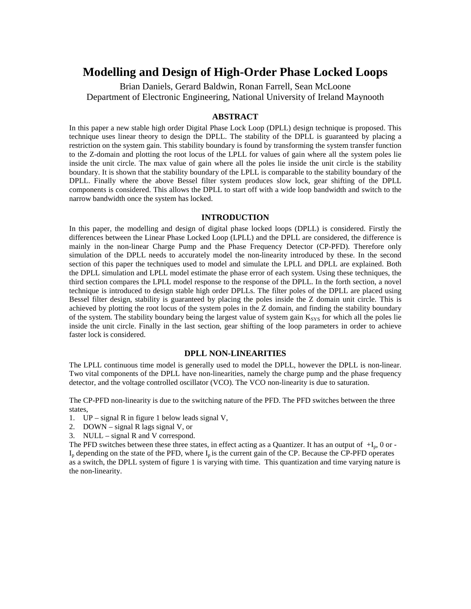# **Modelling and Design of High-Order Phase Locked Loops**

Brian Daniels, Gerard Baldwin, Ronan Farrell, Sean McLoone Department of Electronic Engineering, National University of Ireland Maynooth

# **ABSTRACT**

In this paper a new stable high order Digital Phase Lock Loop (DPLL) design technique is proposed. This technique uses linear theory to design the DPLL. The stability of the DPLL is guaranteed by placing a restriction on the system gain. This stability boundary is found by transforming the system transfer function to the Z-domain and plotting the root locus of the LPLL for values of gain where all the system poles lie inside the unit circle. The max value of gain where all the poles lie inside the unit circle is the stability boundary. It is shown that the stability boundary of the LPLL is comparable to the stability boundary of the DPLL. Finally where the above Bessel filter system produces slow lock, gear shifting of the DPLL components is considered. This allows the DPLL to start off with a wide loop bandwidth and switch to the narrow bandwidth once the system has locked.

# **INTRODUCTION**

In this paper, the modelling and design of digital phase locked loops (DPLL) is considered. Firstly the differences between the Linear Phase Locked Loop (LPLL) and the DPLL are considered, the difference is mainly in the non-linear Charge Pump and the Phase Frequency Detector (CP-PFD). Therefore only simulation of the DPLL needs to accurately model the non-linearity introduced by these. In the second section of this paper the techniques used to model and simulate the LPLL and DPLL are explained. Both the DPLL simulation and LPLL model estimate the phase error of each system. Using these techniques, the third section compares the LPLL model response to the response of the DPLL. In the forth section, a novel technique is introduced to design stable high order DPLLs. The filter poles of the DPLL are placed using Bessel filter design, stability is guaranteed by placing the poles inside the Z domain unit circle. This is achieved by plotting the root locus of the system poles in the Z domain, and finding the stability boundary of the system. The stability boundary being the largest value of system gain K<sub>SYS</sub> for which all the poles lie inside the unit circle. Finally in the last section, gear shifting of the loop parameters in order to achieve faster lock is considered.

# **DPLL NON-LINEARITIES**

The LPLL continuous time model is generally used to model the DPLL, however the DPLL is non-linear. Two vital components of the DPLL have non-linearities, namely the charge pump and the phase frequency detector, and the voltage controlled oscillator (VCO). The VCO non-linearity is due to saturation.

The CP-PFD non-linearity is due to the switching nature of the PFD. The PFD switches between the three states,

- 1. UP signal R in figure 1 below leads signal V,
- 2. DOWN signal R lags signal V, or
- 3. NULL signal R and V correspond.

The PFD switches between these three states, in effect acting as a Quantizer. It has an output of  $+I_p$ , 0 or - $I_p$  depending on the state of the PFD, where  $I_p$  is the current gain of the CP. Because the CP-PFD operates as a switch, the DPLL system of figure 1 is varying with time. This quantization and time varying nature is the non-linearity.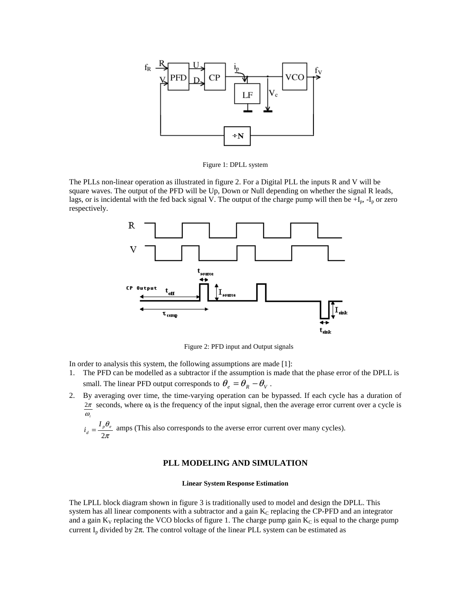

Figure 1: DPLL system

The PLLs non-linear operation as illustrated in figure 2. For a Digital PLL the inputs R and V will be square waves. The output of the PFD will be Up, Down or Null depending on whether the signal R leads, lags, or is incidental with the fed back signal V. The output of the charge pump will then be  $+I_p$ ,  $-I_p$  or zero respectively.



Figure 2: PFD input and Output signals

In order to analysis this system, the following assumptions are made [1]:

- 1. The PFD can be modelled as a subtractor if the assumption is made that the phase error of the DPLL is small. The linear PFD output corresponds to  $\theta_e = \theta_R - \theta_V$ .
- 2. By averaging over time, the time-varying operation can be bypassed. If each cycle has a duration of <sup>ω</sup>*<sup>i</sup>*  $2\pi$  seconds, where  $\omega_i$  is the frequency of the input signal, then the average error current over a cycle is

π θ 2  $\frac{1}{d} = \frac{1}{2} \frac{p}{r}$  $i_d = \frac{I_p \theta_e}{2}$  amps (This also corresponds to the averse error current over many cycles).

# **PLL MODELING AND SIMULATION**

### **Linear System Response Estimation**

The LPLL block diagram shown in figure 3 is traditionally used to model and design the DPLL. This system has all linear components with a subtractor and a gain  $K_C$  replacing the CP-PFD and an integrator and a gain  $K_V$  replacing the VCO blocks of figure 1. The charge pump gain  $K_C$  is equal to the charge pump current I<sub>p</sub> divided by  $2\pi$ . The control voltage of the linear PLL system can be estimated as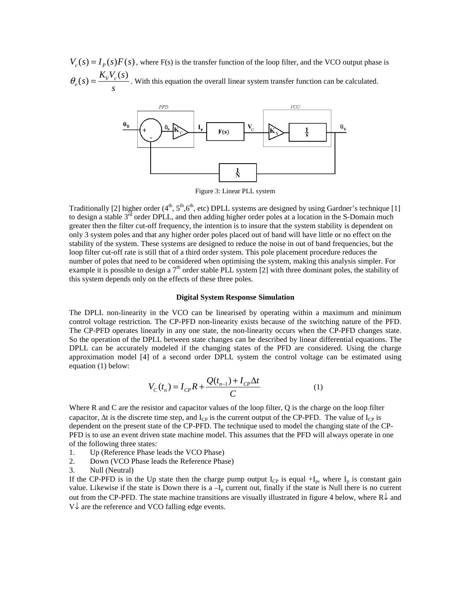$V_{c}(s) = I_{p}(s)F(s)$ , where F(s) is the transfer function of the loop filter, and the VCO output phase is  $P_e(s) = \frac{K_V V_c(s)}{s}$  $s) = \frac{K_{V}V_{c}(s)}{s}$ *s*  $\theta_{e}(s) = \frac{\mathbf{A}_{V} \cdot \mathbf{B}_{V}}{s}$ . With this equation the overall linear system transfer function can be calculated.



Figure 3: Linear PLL system

Traditionally [2] higher order  $(4<sup>th</sup>, 5<sup>th</sup>, 6<sup>th</sup>,$  etc) DPLL systems are designed by using Gardner's technique [1] to design a stable  $3^{rd}$  order DPLL, and then adding higher order poles at a location in the S-Domain much greater then the filter cut-off frequency, the intention is to insure that the system stability is dependent on only 3 system poles and that any higher order poles placed out of band will have little or no effect on the stability of the system. These systems are designed to reduce the noise in out of band frequencies, but the loop filter cut-off rate is still that of a third order system. This pole placement procedure reduces the number of poles that need to be considered when optimising the system, making this analysis simpler. For example it is possible to design a  $7<sup>th</sup>$  order stable PLL system [2] with three dominant poles, the stability of this system depends only on the effects of these three poles.

#### **Digital System Response Simulation**

The DPLL non-linearity in the VCO can be linearised by operating within a maximum and minimum control voltage restriction. The CP-PFD non-linearity exists because of the switching nature of the PFD. The CP-PFD operates linearly in any one state, the non-linearity occurs when the CP-PFD changes state. So the operation of the DPLL between state changes can be described by linear differential equations. The DPLL can be accurately modeled if the changing states of the PFD are considered. Using the charge approximation model [4] of a second order DPLL system the control voltage can be estimated using equation (1) below:

$$
V_C(t_n) = I_{CP}R + \frac{Q(t_{n-1}) + I_{CP}\Delta t}{C}
$$
 (1)

Where R and C are the resistor and capacitor values of the loop filter, Q is the charge on the loop filter capacitor,  $\Delta t$  is the discrete time step, and I<sub>CP</sub> is the current output of the CP-PFD. The value of I<sub>CP</sub> is dependent on the present state of the CP-PFD. The technique used to model the changing state of the CP-PFD is to use an event driven state machine model. This assumes that the PFD will always operate in one of the following three states:

- 1. Up (Reference Phase leads the VCO Phase)
- 2. Down (VCO Phase leads the Reference Phase)
- 3. Null (Neutral)

If the CP-PFD is in the Up state then the charge pump output  $I_{CP}$  is equal  $+I_p$ , where  $I_p$  is constant gain value. Likewise if the state is Down there is a  $-I_p$  current out, finally if the state is Null there is no current out from the CP-PFD. The state machine transitions are visually illustrated in figure 4 below, where  $\mathbb{R}^{\downarrow}$  and V↓ are the reference and VCO falling edge events.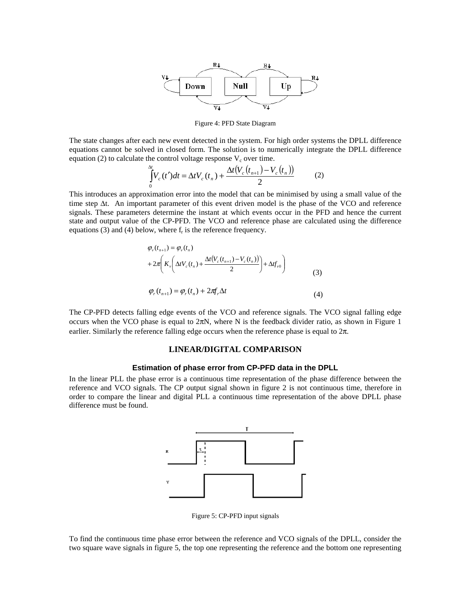

Figure 4: PFD State Diagram

The state changes after each new event detected in the system. For high order systems the DPLL difference equations cannot be solved in closed form. The solution is to numerically integrate the DPLL difference equation (2) to calculate the control voltage response  $V_c$  over time.

$$
\int_{0}^{\Delta t} V_c(t')dt = \Delta t V_c(t_n) + \frac{\Delta t (V_c(t_{n+1}) - V_c(t_n))}{2}
$$
 (2)

This introduces an approximation error into the model that can be minimised by using a small value of the time step ∆t. An important parameter of this event driven model is the phase of the VCO and reference signals. These parameters determine the instant at which events occur in the PFD and hence the current state and output value of the CP-PFD. The VCO and reference phase are calculated using the difference equations  $(3)$  and  $(4)$  below, where  $f<sub>r</sub>$  is the reference frequency.

$$
\varphi_{\nu}(t_{n+1}) = \varphi_{\nu}(t_n)
$$
  
+ 
$$
2\pi \left( K_{\nu} \left( \Delta t V_c(t_n) + \frac{\Delta t (V_c(t_{n+1}) - V_c(t_n))}{2} \right) + \Delta t f_{\nu 0} \right)
$$
  

$$
\varphi_r(t_{n+1}) = \varphi_r(t_n) + 2\pi f_r \Delta t
$$
 (4)

The CP-PFD detects falling edge events of the VCO and reference signals. The VCO signal falling edge occurs when the VCO phase is equal to  $2\pi N$ , where N is the feedback divider ratio, as shown in Figure 1 earlier. Similarly the reference falling edge occurs when the reference phase is equal to  $2\pi$ .

# **LINEAR/DIGITAL COMPARISON**

# **Estimation of phase error from CP-PFD data in the DPLL**

In the linear PLL the phase error is a continuous time representation of the phase difference between the reference and VCO signals. The CP output signal shown in figure 2 is not continuous time, therefore in order to compare the linear and digital PLL a continuous time representation of the above DPLL phase difference must be found.



Figure 5: CP-PFD input signals

To find the continuous time phase error between the reference and VCO signals of the DPLL, consider the two square wave signals in figure 5, the top one representing the reference and the bottom one representing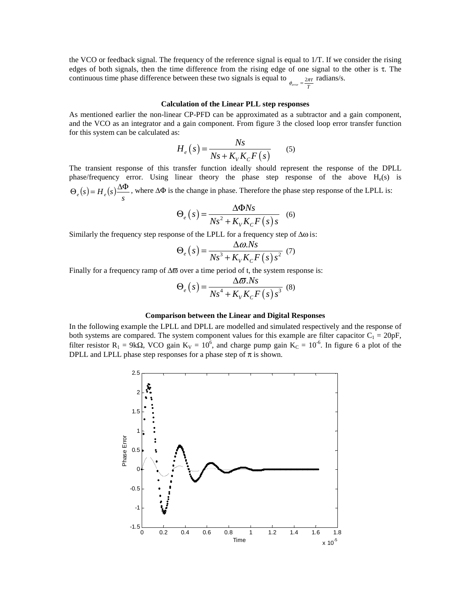the VCO or feedback signal. The frequency of the reference signal is equal to 1/T. If we consider the rising edges of both signals, then the time difference from the rising edge of one signal to the other is  $\tau$ . The continuous time phase difference between these two signals is equal to  $\phi_{error} = \frac{2\pi\tau}{T}$  **radians/s.** 

#### **Calculation of the Linear PLL step responses**

As mentioned earlier the non-linear CP-PFD can be approximated as a subtractor and a gain component, and the VCO as an integrator and a gain component. From figure 3 the closed loop error transfer function for this system can be calculated as:

$$
H_e(s) = \frac{Ns}{Ns + K_V K_C F(s)}\tag{5}
$$

The transient response of this transfer function ideally should represent the response of the DPLL phase/frequency error. Using linear theory the phase step response of the above  $H_e(s)$  is  $\Theta_e(s) = H_e(s) \frac{\Delta \Phi}{s}$ , where  $\Delta \Phi$  is the change in phase. Therefore the phase step response of the LPLL is:

$$
\Theta_e(s) = \frac{\Delta \Phi N s}{N s^2 + K_V K_C F(s) s}
$$
 (6)

Similarly the frequency step response of the LPLL for a frequency step of ∆ω is:

$$
\Theta_e(s) = \frac{\Delta \omega N s}{N s^3 + K_V K_C F(s) s^2} \tag{7}
$$

Finally for a frequency ramp of ∆ϖ over a time period of t, the system response is:

$$
\Theta_e(s) = \frac{\Delta \varpi N s}{N s^4 + K_V K_C F(s) s^3} \tag{8}
$$

#### **Comparison between the Linear and Digital Responses**

In the following example the LPLL and DPLL are modelled and simulated respectively and the response of both systems are compared. The system component values for this example are filter capacitor  $C_1 = 20pF$ , filter resistor  $R_1 = 9k\Omega$ , VCO gain  $K_V = 10^6$ , and charge pump gain  $K_C = 10^{-6}$ . In figure 6 a plot of the DPLL and LPLL phase step responses for a phase step of  $\pi$  is shown.

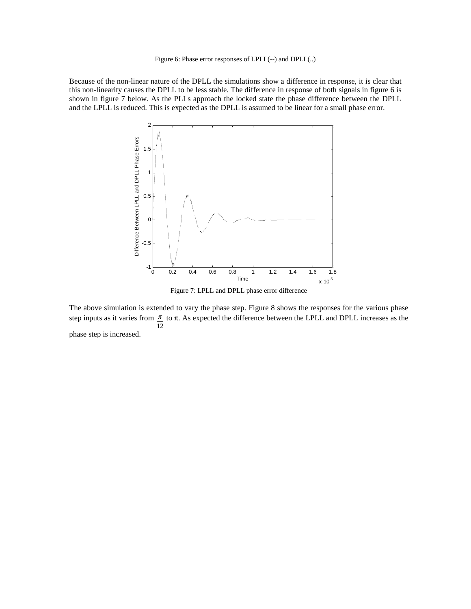### Figure 6: Phase error responses of LPLL(--) and DPLL(..)

Because of the non-linear nature of the DPLL the simulations show a difference in response, it is clear that this non-linearity causes the DPLL to be less stable. The difference in response of both signals in figure 6 is shown in figure 7 below. As the PLLs approach the locked state the phase difference between the DPLL and the LPLL is reduced. This is expected as the DPLL is assumed to be linear for a small phase error.



Figure 7: LPLL and DPLL phase error difference

The above simulation is extended to vary the phase step. Figure 8 shows the responses for the various phase step inputs as it varies from 12  $\frac{\pi}{\sigma}$  to  $\pi$ . As expected the difference between the LPLL and DPLL increases as the phase step is increased.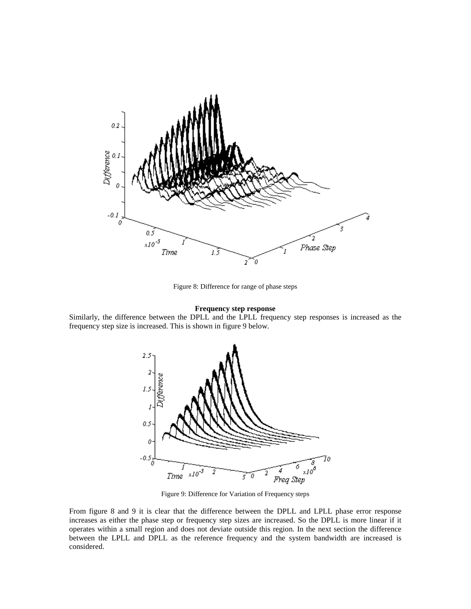

Figure 8: Difference for range of phase steps

## **Frequency step response**

Similarly, the difference between the DPLL and the LPLL frequency step responses is increased as the frequency step size is increased. This is shown in figure 9 below.



Figure 9: Difference for Variation of Frequency steps

From figure 8 and 9 it is clear that the difference between the DPLL and LPLL phase error response increases as either the phase step or frequency step sizes are increased. So the DPLL is more linear if it operates within a small region and does not deviate outside this region. In the next section the difference between the LPLL and DPLL as the reference frequency and the system bandwidth are increased is considered.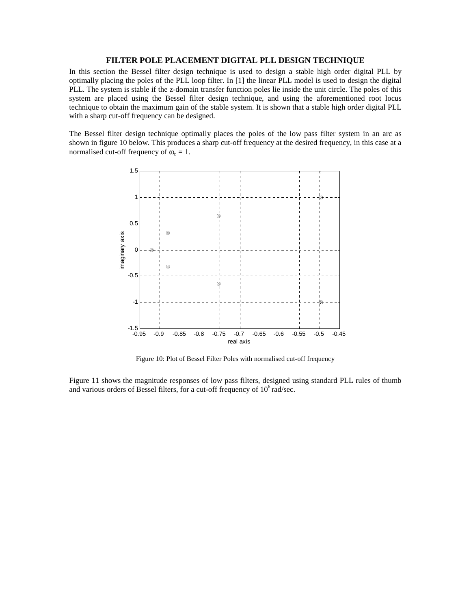# **FILTER POLE PLACEMENT DIGITAL PLL DESIGN TECHNIQUE**

In this section the Bessel filter design technique is used to design a stable high order digital PLL by optimally placing the poles of the PLL loop filter. In [1] the linear PLL model is used to design the digital PLL. The system is stable if the z-domain transfer function poles lie inside the unit circle. The poles of this system are placed using the Bessel filter design technique, and using the aforementioned root locus technique to obtain the maximum gain of the stable system. It is shown that a stable high order digital PLL with a sharp cut-off frequency can be designed.

The Bessel filter design technique optimally places the poles of the low pass filter system in an arc as shown in figure 10 below. This produces a sharp cut-off frequency at the desired frequency, in this case at a normalised cut-off frequency of  $\omega_c = 1$ .



Figure 10: Plot of Bessel Filter Poles with normalised cut-off frequency

Figure 11 shows the magnitude responses of low pass filters, designed using standard PLL rules of thumb and various orders of Bessel filters, for a cut-off frequency of  $10^6$  rad/sec.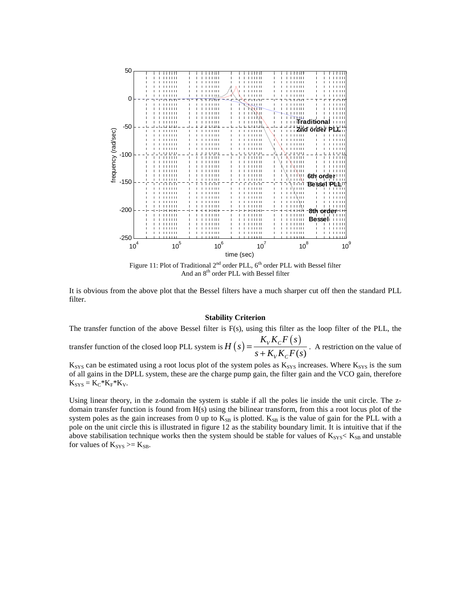

It is obvious from the above plot that the Bessel filters have a much sharper cut off then the standard PLL filter.

## **Stability Criterion**

The transfer function of the above Bessel filter is F(s), using this filter as the loop filter of the PLL, the transfer function of the closed loop PLL system is  $H(s) = \frac{K_V K_C F(s)}{K_V K_C}$  $\left( s\right)$  $V^{I\Lambda}C$  $K_{V}K_{C}F(s)$  $H(s) = \frac{H(s) - H(t)}{s + K_y K_c F(s)}$ . A restriction on the value of

 $K_{SYS}$  can be estimated using a root locus plot of the system poles as  $K_{SYS}$  increases. Where  $K_{SYS}$  is the sum of all gains in the DPLL system, these are the charge pump gain, the filter gain and the VCO gain, therefore  $K_{SYS} = K_C * K_F * K_V.$ 

 $V^{I\Lambda}C$ 

Using linear theory, in the z-domain the system is stable if all the poles lie inside the unit circle. The zdomain transfer function is found from H(s) using the bilinear transform, from this a root locus plot of the system poles as the gain increases from 0 up to  $K_{SB}$  is plotted.  $K_{SB}$  is the value of gain for the PLL with a pole on the unit circle this is illustrated in figure 12 as the stability boundary limit. It is intuitive that if the above stabilisation technique works then the system should be stable for values of  $K_{SYS} < K_{SB}$  and unstable for values of  $K_{SYS} \ge K_{SB}$ .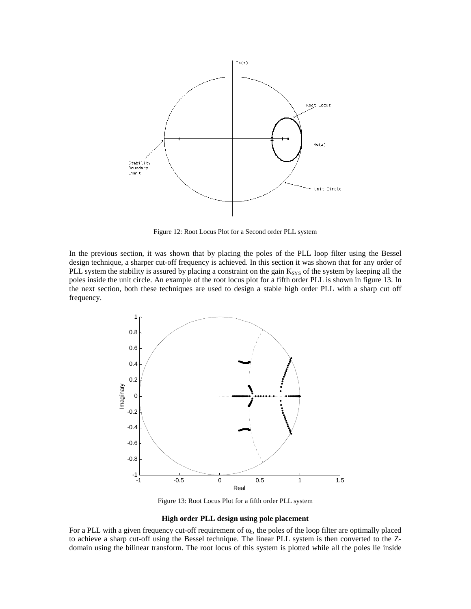

Figure 12: Root Locus Plot for a Second order PLL system

In the previous section, it was shown that by placing the poles of the PLL loop filter using the Bessel design technique, a sharper cut-off frequency is achieved. In this section it was shown that for any order of PLL system the stability is assured by placing a constraint on the gain  $K_{SYS}$  of the system by keeping all the poles inside the unit circle. An example of the root locus plot for a fifth order PLL is shown in figure 13. In the next section, both these techniques are used to design a stable high order PLL with a sharp cut off frequency.



Figure 13: Root Locus Plot for a fifth order PLL system

#### **High order PLL design using pole placement**

For a PLL with a given frequency cut-off requirement of  $\omega_c$ , the poles of the loop filter are optimally placed to achieve a sharp cut-off using the Bessel technique. The linear PLL system is then converted to the Zdomain using the bilinear transform. The root locus of this system is plotted while all the poles lie inside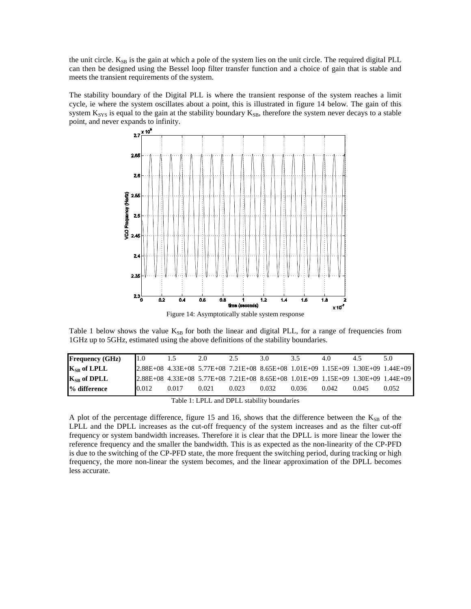the unit circle.  $K_{SB}$  is the gain at which a pole of the system lies on the unit circle. The required digital PLL can then be designed using the Bessel loop filter transfer function and a choice of gain that is stable and meets the transient requirements of the system.

The stability boundary of the Digital PLL is where the transient response of the system reaches a limit cycle, ie where the system oscillates about a point, this is illustrated in figure 14 below. The gain of this system  $K_{SYS}$  is equal to the gain at the stability boundary  $K_{SB}$ , therefore the system never decays to a stable point, and never expands to infinity.



Table 1 below shows the value  $K_{SB}$  for both the linear and digital PLL, for a range of frequencies from 1GHz up to 5GHz, estimated using the above definitions of the stability boundaries.

|                       |       | 2.0   |       | 3.0   | 3.5   | 4.0   | 4.5   | 5.0                                                                              |
|-----------------------|-------|-------|-------|-------|-------|-------|-------|----------------------------------------------------------------------------------|
| $K_{SB}$ of LPLL      |       |       |       |       |       |       |       | 2.88E+08 4.33E+08 5.77E+08 7.21E+08 8.65E+08 1.01E+09 1.15E+09 1.30E+09 1.44E+09 |
| $K_{SB}$ of DPLL      |       |       |       |       |       |       |       | 2.88E+08 4.33E+08 5.77E+08 7.21E+08 8.65E+08 1.01E+09 1.15E+09 1.30E+09 1.44E+09 |
| % difference<br>0.012 | 0.017 | 0.021 | 0.023 | 0.032 | 0.036 | 0.042 | 0.045 | 0.052                                                                            |

Table 1: LPLL and DPLL stability boundaries

A plot of the percentage difference, figure 15 and 16, shows that the difference between the  $K_{SB}$  of the LPLL and the DPLL increases as the cut-off frequency of the system increases and as the filter cut-off frequency or system bandwidth increases. Therefore it is clear that the DPLL is more linear the lower the reference frequency and the smaller the bandwidth. This is as expected as the non-linearity of the CP-PFD is due to the switching of the CP-PFD state, the more frequent the switching period, during tracking or high frequency, the more non-linear the system becomes, and the linear approximation of the DPLL becomes less accurate.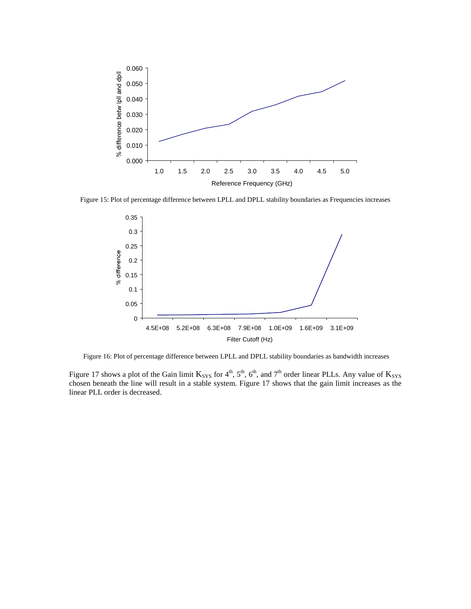

Figure 15: Plot of percentage difference between LPLL and DPLL stability boundaries as Frequencies increases



Figure 16: Plot of percentage difference between LPLL and DPLL stability boundaries as bandwidth increases

Figure 17 shows a plot of the Gain limit  $K_{SYS}$  for 4<sup>th</sup>, 5<sup>th</sup>, 6<sup>th</sup>, and 7<sup>th</sup> order linear PLLs. Any value of  $K_{SYS}$ chosen beneath the line will result in a stable system. Figure 17 shows that the gain limit increases as the linear PLL order is decreased.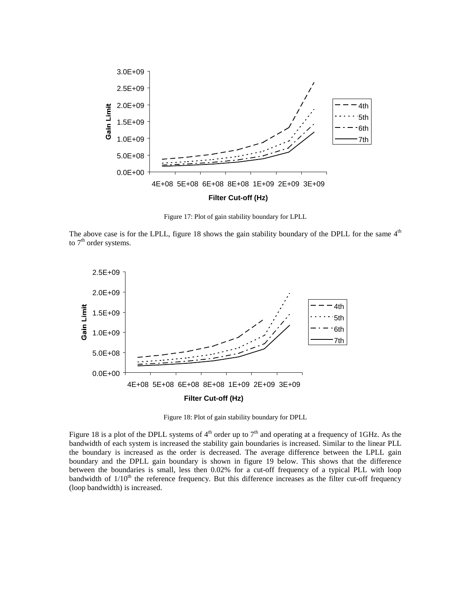

Figure 17: Plot of gain stability boundary for LPLL

The above case is for the LPLL, figure 18 shows the gain stability boundary of the DPLL for the same  $4<sup>th</sup>$ to  $7<sup>th</sup>$  order systems.



Figure 18: Plot of gain stability boundary for DPLL

Figure 18 is a plot of the DPLL systems of  $4<sup>th</sup>$  order up to  $7<sup>th</sup>$  and operating at a frequency of 1GHz. As the bandwidth of each system is increased the stability gain boundaries is increased. Similar to the linear PLL the boundary is increased as the order is decreased. The average difference between the LPLL gain boundary and the DPLL gain boundary is shown in figure 19 below. This shows that the difference between the boundaries is small, less then 0.02% for a cut-off frequency of a typical PLL with loop bandwidth of  $1/10<sup>th</sup>$  the reference frequency. But this difference increases as the filter cut-off frequency (loop bandwidth) is increased.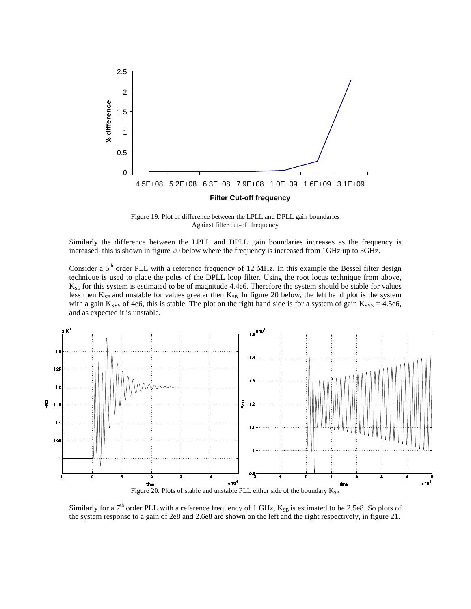

Figure 19: Plot of difference between the LPLL and DPLL gain boundaries Against filter cut-off frequency

Similarly the difference between the LPLL and DPLL gain boundaries increases as the frequency is increased, this is shown in figure 20 below where the frequency is increased from 1GHz up to 5GHz.

Consider a 5<sup>th</sup> order PLL with a reference frequency of 12 MHz. In this example the Bessel filter design technique is used to place the poles of the DPLL loop filter. Using the root locus technique from above,  $K_{SB}$  for this system is estimated to be of magnitude 4.4e6. Therefore the system should be stable for values less then K<sub>SB</sub> and unstable for values greater then K<sub>SB</sub>. In figure 20 below, the left hand plot is the system with a gain  $K_{SYS}$  of 4e6, this is stable. The plot on the right hand side is for a system of gain  $K_{SYS} = 4.5e6$ , and as expected it is unstable.



Similarly for a  $7<sup>th</sup>$  order PLL with a reference frequency of 1 GHz,  $K_{SB}$  is estimated to be 2.5e8. So plots of the system response to a gain of 2e8 and 2.6e8 are shown on the left and the right respectively, in figure 21.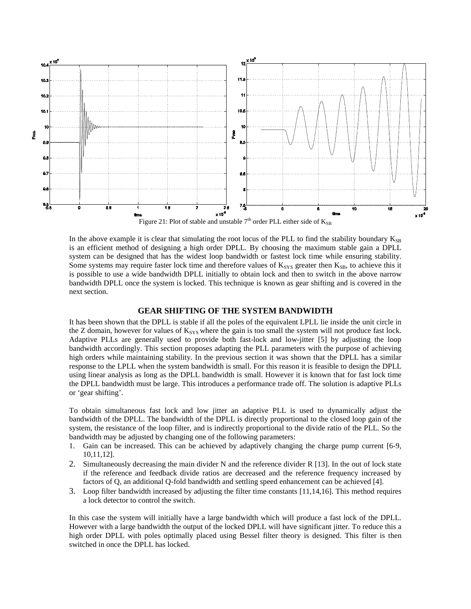

In the above example it is clear that simulating the root locus of the PLL to find the stability boundary  $K_{SB}$ is an efficient method of designing a high order DPLL. By choosing the maximum stable gain a DPLL system can be designed that has the widest loop bandwidth or fastest lock time while ensuring stability. Some systems may require faster lock time and therefore values of  $K_{SYS}$  greater then  $K_{SB}$ , to achieve this it is possible to use a wide bandwidth DPLL initially to obtain lock and then to switch in the above narrow bandwidth DPLL once the system is locked. This technique is known as gear shifting and is covered in the next section.

# **GEAR SHIFTING OF THE SYSTEM BANDWIDTH**

It has been shown that the DPLL is stable if all the poles of the equivalent LPLL lie inside the unit circle in the Z domain, however for values of  $K_{SYS}$  where the gain is too small the system will not produce fast lock. Adaptive PLLs are generally used to provide both fast-lock and low-jitter [5] by adjusting the loop bandwidth accordingly. This section proposes adapting the PLL parameters with the purpose of achieving high orders while maintaining stability. In the previous section it was shown that the DPLL has a similar response to the LPLL when the system bandwidth is small. For this reason it is feasible to design the DPLL using linear analysis as long as the DPLL bandwidth is small. However it is known that for fast lock time the DPLL bandwidth must be large. This introduces a performance trade off. The solution is adaptive PLLs or 'gear shifting'.

To obtain simultaneous fast lock and low jitter an adaptive PLL is used to dynamically adjust the bandwidth of the DPLL. The bandwidth of the DPLL is directly proportional to the closed loop gain of the system, the resistance of the loop filter, and is indirectly proportional to the divide ratio of the PLL. So the bandwidth may be adjusted by changing one of the following parameters:

- 1. Gain can be increased. This can be achieved by adaptively changing the charge pump current [6-9, 10,11,12].
- 2. Simultaneously decreasing the main divider N and the reference divider R [13]. In the out of lock state if the reference and feedback divide ratios are decreased and the reference frequency increased by factors of Q, an additional Q-fold bandwidth and settling speed enhancement can be achieved [4].
- 3. Loop filter bandwidth increased by adjusting the filter time constants [11,14,16]. This method requires a lock detector to control the switch.

In this case the system will initially have a large bandwidth which will produce a fast lock of the DPLL. However with a large bandwidth the output of the locked DPLL will have significant jitter. To reduce this a high order DPLL with poles optimally placed using Bessel filter theory is designed. This filter is then switched in once the DPLL has locked.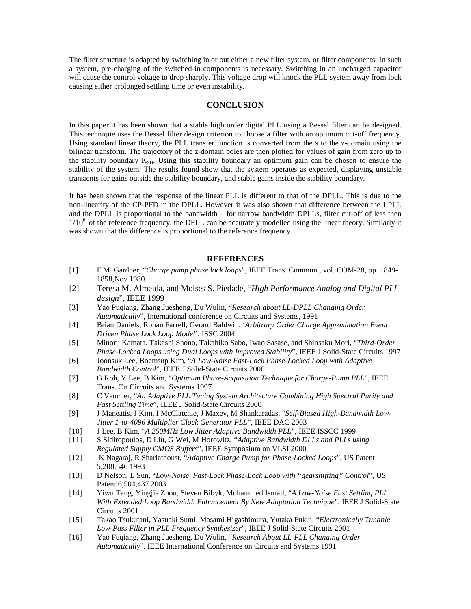The filter structure is adapted by switching in or out either a new filter system, or filter components. In such a system, pre-charging of the switched-in components is necessary. Switching in an uncharged capacitor will cause the control voltage to drop sharply. This voltage drop will knock the PLL system away from lock causing either prolonged settling time or even instability.

# **CONCLUSION**

In this paper it has been shown that a stable high order digital PLL using a Bessel filter can be designed. This technique uses the Bessel filter design criterion to choose a filter with an optimum cut-off frequency. Using standard linear theory, the PLL transfer function is converted from the s to the z-domain using the bilinear transform. The trajectory of the z-domain poles are then plotted for values of gain from zero up to the stability boundary  $K_{SB}$ . Using this stability boundary an optimum gain can be chosen to ensure the stability of the system. The results found show that the system operates as expected, displaying unstable transients for gains outside the stability boundary, and stable gains inside the stability boundary.

It has been shown that the response of the linear PLL is different to that of the DPLL. This is due to the non-linearity of the CP-PFD in the DPLL. However it was also shown that difference between the LPLL and the DPLL is proportional to the bandwidth – for narrow bandwidth DPLLs, filter cut-off of less then  $1/10<sup>th</sup>$  of the reference frequency, the DPLL can be accurately modelled using the linear theory. Similarly it was shown that the difference is proportional to the reference frequency.

# **REFERENCES**

- [1] F.M. Gardner, "*Charge pump phase lock loops*", IEEE Trans. Commun., vol. COM-28, pp. 1849- 1858,Nov 1980.
- [2] Teresa M. Almeida, and Moises S. Piedade, "*High Performance Analog and Digital PLL design*", IEEE 1999
- [3] Yao Puqiang, Zhang Juesheng, Du Wulin, "*Research about LL-DPLL Changing Order Automatically*", International conference on Circuits and Systems, 1991
- [4] Brian Daniels, Ronan Farrell, Gerard Baldwin, '*Arbitrary Order Charge Approximation Event Driven Phase Lock Loop Model*', ISSC 2004
- [5] Minoru Kamata, Takashi Shono, Takahiko Sabo, Iwao Sasase, and Shinsaku Mori, "*Third-Order Phase-Locked Loops using Dual Loops with Improved Stability*", IEEE J Solid-State Circuits 1997
- [6] Joonsuk Lee, Boemsup Kim, "*A Low-Noise Fast-Lock Phase-Locked Loop with Adaptive Bandwidth Control*", IEEE J Solid-State Circuits 2000
- [7] G Roh, Y Lee, B Kim, "*Optimum Phase-Acquisition Technique for Charge-Pump PLL*", IEEE Trans. On Circuits and Systems 1997
- [8] C Vaucher, "*An Adaptive PLL Tuning System Architecture Combining High Spectral Purity and Fast Settling Time*", IEEE J Solid-State Circuits 2000
- [9] J Maneatis, J Kim, I McClatchie, J Maxey, M Shankaradas, "*Self-Biased High-Bandwidth Low-Jitter 1-to-4096 Multiplier Clock Generator PLL*", IEEE DAC 2003
- [10] J Lee, B Kim, "*A 250MHz Low Jitter Adaptive Bandwidth PLL*", IEEE ISSCC 1999
- [11] S Sidiropoulos, D Liu, G Wei, M Horowitz, "*Adaptive Bandwidth DLLs and PLLs using Regulated Supply CMOS Buffers*", IEEE Symposium on VLSI 2000
- [12] K Nagaraj, R Shariatdoust, "*Adaptive Charge Pump for Phase-Locked Loops*", US Patent 5,208,546 1993
- [13] D Nelson, L Sun, "*Low-Noise, Fast-Lock Phase-Lock Loop with "gearshifting" Control*", US Patent 6,504,437 2003
- [14] Yiwu Tang, Yingjie Zhou, Steven Bibyk, Mohammed Ismail, "*A Low-Noise Fast Settling PLL With Extended Loop Bandwidth Enhancement By New Adaptation Technique*", IEEE J Solid-State Circuits 2001
- [15] Takao Tsukutani, Yasuaki Sumi, Masami Higashimura, Yutaka Fukui, "*Electronically Tunable Low-Pass Filter in PLL Frequency Synthesizer*", IEEE J Solid-State Circuits 2001
- [16] Yao Fuqiang, Zhang Juesheng, Du Wulin, "*Research About LL-PLL Changing Order Automatically*", IEEE International Conference on Circuits and Systems 1991